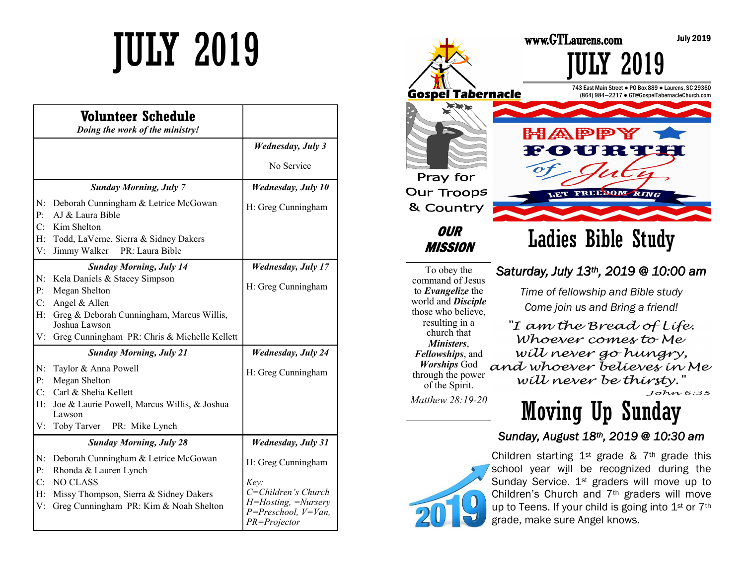|                                  | Volunteer Schedule<br>Doing the work of the ministry!                                                                                                                                                           |                                                                                                                       |
|----------------------------------|-----------------------------------------------------------------------------------------------------------------------------------------------------------------------------------------------------------------|-----------------------------------------------------------------------------------------------------------------------|
|                                  |                                                                                                                                                                                                                 | <b>Wednesday</b> , July 3                                                                                             |
|                                  |                                                                                                                                                                                                                 | No Service                                                                                                            |
|                                  | <b>Sunday Morning, July 7</b>                                                                                                                                                                                   | <b>Wednesday</b> , July 10                                                                                            |
| N:<br>$\mathbf{P}$ :<br>C:<br>H: | Deborah Cunningham & Letrice McGowan<br>AJ & Laura Bible<br>Kim Shelton<br>Todd, LaVerne, Sierra & Sidney Dakers                                                                                                | H: Greg Cunningham                                                                                                    |
| V:                               | Jimmy Walker<br>PR: Laura Bible                                                                                                                                                                                 |                                                                                                                       |
| N:<br>P:<br>C:<br>H:<br>V:       | <b>Sunday Morning, July 14</b><br>Kela Daniels & Stacey Simpson<br>Megan Shelton<br>Angel & Allen<br>Greg & Deborah Cunningham, Marcus Willis,<br>Joshua Lawson<br>Greg Cunningham PR: Chris & Michelle Kellett | <b>Wednesday</b> , July 17<br>H: Greg Cunningham                                                                      |
|                                  | <b>Sunday Morning, July 21</b>                                                                                                                                                                                  | <b>Wednesday, July 24</b>                                                                                             |
| N:<br>P:<br>H:<br>V:             | Taylor & Anna Powell<br>Megan Shelton<br>C: Carl & Shelia Kellett<br>Joe & Laurie Powell, Marcus Willis, & Joshua<br>Lawson<br>Toby Tarver<br>PR: Mike Lynch                                                    | H: Greg Cunningham                                                                                                    |
|                                  | <b>Sunday Morning, July 28</b>                                                                                                                                                                                  | <b>Wednesday, July 31</b>                                                                                             |
| N:<br>P:<br>C:<br>H:<br>V:       | Deborah Cunningham & Letrice McGowan<br>Rhonda & Lauren Lynch<br><b>NO CLASS</b><br>Missy Thompson, Sierra & Sidney Dakers<br>Greg Cunningham PR: Kim & Noah Shelton                                            | H: Greg Cunningham<br>Key:<br>C=Children's Church<br>H=Hosting, =Nursery<br>$P = Preschool, V = Van,$<br>PR=Projector |



To obey the command of Jesus to *Evangelize* the world and *Disciple*  those who believe, resulting in a church that *Ministers*, *Fellowships*, and *Worships* God through the power of the Spirit.

*Saturday, July 13th, 2019 @ 10:00 am* 

*Time of fellowship and Bible study Come join us and Bring a friend!*

"I am the Bread of Life. Whoever comes to Me will never go hungry, and whoever believes in Me will never be thirsty."  $Tohn6:35$ 

*Matthew 28:19-20* 

Moving Up Sunday

### *Sunday, August 18th, 2019 @ 10:30 am*



Children starting  $1^{st}$  grade &  $7^{th}$  grade this school year will be recognized during the Sunday Service. 1<sup>st</sup> graders will move up to Children's Church and 7th graders will move up to Teens. If your child is going into 1<sup>st</sup> or 7<sup>th</sup> grade, make sure Angel knows.